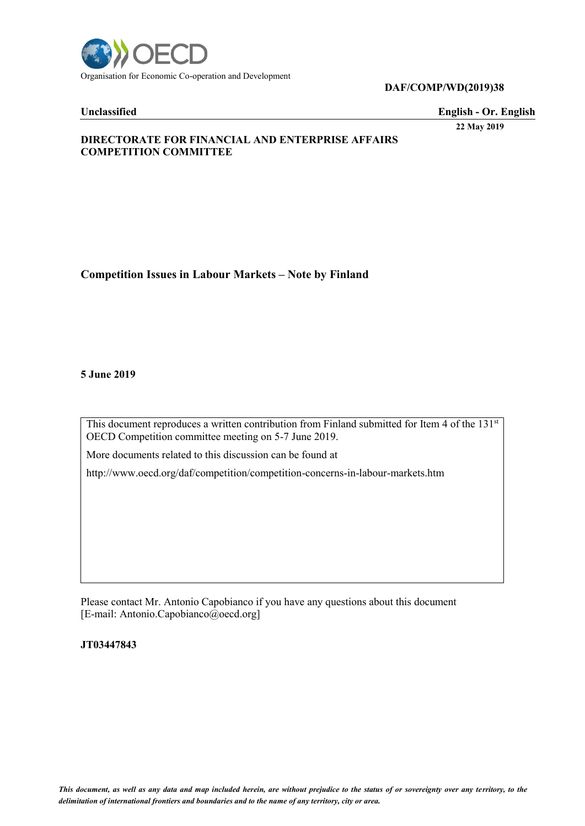

### **DAF/COMP/WD(2019)38**

**Unclassified English - Or. English**

**22 May 2019**

# **DIRECTORATE FOR FINANCIAL AND ENTERPRISE AFFAIRS COMPETITION COMMITTEE**

**Competition Issues in Labour Markets – Note by Finland**

**5 June 2019**

This document reproduces a written contribution from Finland submitted for Item 4 of the 131st OECD Competition committee meeting on 5-7 June 2019.

More documents related to this discussion can be found at

http://www.oecd.org/daf/competition/competition-concerns-in-labour-markets.htm

Please contact Mr. Antonio Capobianco if you have any questions about this document [E-mail: Antonio.Capobianco@oecd.org]

**JT03447843**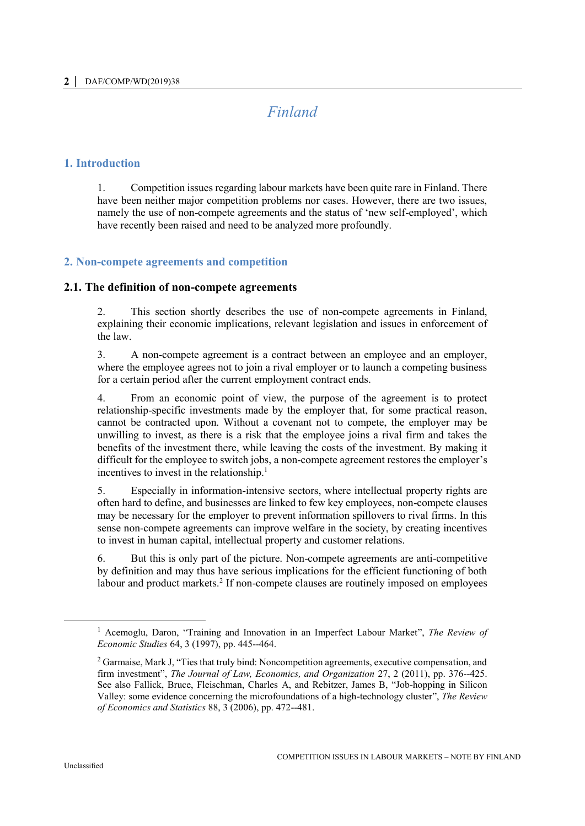# *Finland*

# **1. Introduction**

1. Competition issues regarding labour markets have been quite rare in Finland. There have been neither major competition problems nor cases. However, there are two issues, namely the use of non-compete agreements and the status of 'new self-employed', which have recently been raised and need to be analyzed more profoundly.

# **2. Non-compete agreements and competition**

### **2.1. The definition of non-compete agreements**

2. This section shortly describes the use of non-compete agreements in Finland, explaining their economic implications, relevant legislation and issues in enforcement of the law.

3. A non-compete agreement is a contract between an employee and an employer, where the employee agrees not to join a rival employer or to launch a competing business for a certain period after the current employment contract ends.

4. From an economic point of view, the purpose of the agreement is to protect relationship-specific investments made by the employer that, for some practical reason, cannot be contracted upon. Without a covenant not to compete, the employer may be unwilling to invest, as there is a risk that the employee joins a rival firm and takes the benefits of the investment there, while leaving the costs of the investment. By making it difficult for the employee to switch jobs, a non-compete agreement restores the employer's incentives to invest in the relationship.<sup>1</sup>

5. Especially in information-intensive sectors, where intellectual property rights are often hard to define, and businesses are linked to few key employees, non-compete clauses may be necessary for the employer to prevent information spillovers to rival firms. In this sense non-compete agreements can improve welfare in the society, by creating incentives to invest in human capital, intellectual property and customer relations.

6. But this is only part of the picture. Non-compete agreements are anti-competitive by definition and may thus have serious implications for the efficient functioning of both labour and product markets.<sup>2</sup> If non-compete clauses are routinely imposed on employees

<sup>1</sup> Acemoglu, Daron, "Training and Innovation in an Imperfect Labour Market", *The Review of Economic Studies* 64, 3 (1997), pp. 445--464.

<sup>&</sup>lt;sup>2</sup> Garmaise, Mark J, "Ties that truly bind: Noncompetition agreements, executive compensation, and firm investment", *The Journal of Law, Economics, and Organization* 27, 2 (2011), pp. 376--425. See also Fallick, Bruce, Fleischman, Charles A, and Rebitzer, James B, "Job-hopping in Silicon Valley: some evidence concerning the microfoundations of a high-technology cluster", *The Review of Economics and Statistics* 88, 3 (2006), pp. 472--481.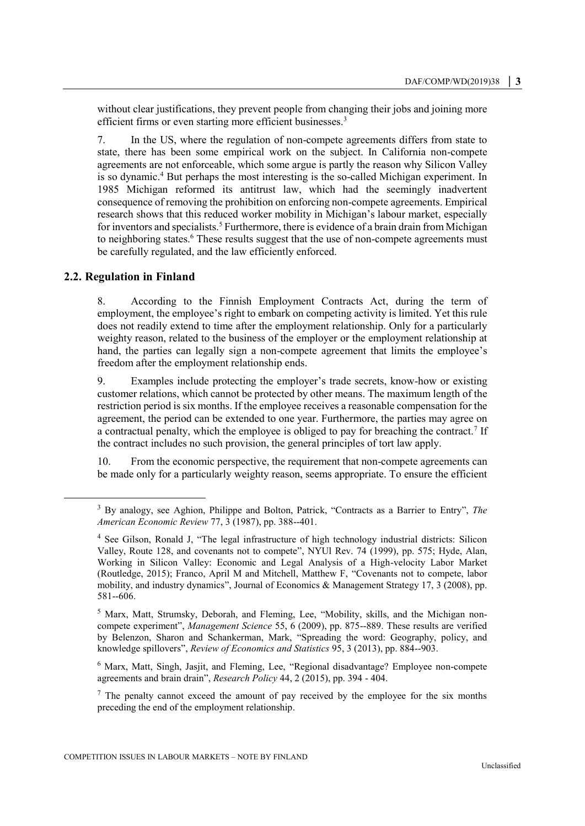without clear justifications, they prevent people from changing their jobs and joining more efficient firms or even starting more efficient businesses.<sup>3</sup>

7. In the US, where the regulation of non-compete agreements differs from state to state, there has been some empirical work on the subject. In California non-compete agreements are not enforceable, which some argue is partly the reason why Silicon Valley is so dynamic.<sup>4</sup> But perhaps the most interesting is the so-called Michigan experiment. In 1985 Michigan reformed its antitrust law, which had the seemingly inadvertent consequence of removing the prohibition on enforcing non-compete agreements. Empirical research shows that this reduced worker mobility in Michigan's labour market, especially for inventors and specialists.<sup>5</sup> Furthermore, there is evidence of a brain drain from Michigan to neighboring states.<sup>6</sup> These results suggest that the use of non-compete agreements must be carefully regulated, and the law efficiently enforced.

### **2.2. Regulation in Finland**

 $\overline{a}$ 

8. According to the Finnish Employment Contracts Act, during the term of employment, the employee's right to embark on competing activity is limited. Yet this rule does not readily extend to time after the employment relationship. Only for a particularly weighty reason, related to the business of the employer or the employment relationship at hand, the parties can legally sign a non-compete agreement that limits the employee's freedom after the employment relationship ends.

9. Examples include protecting the employer's trade secrets, know-how or existing customer relations, which cannot be protected by other means. The maximum length of the restriction period is six months. If the employee receives a reasonable compensation for the agreement, the period can be extended to one year. Furthermore, the parties may agree on a contractual penalty, which the employee is obliged to pay for breaching the contract.<sup>7</sup> If the contract includes no such provision, the general principles of tort law apply.

10. From the economic perspective, the requirement that non-compete agreements can be made only for a particularly weighty reason, seems appropriate. To ensure the efficient

<sup>5</sup> Marx, Matt, Strumsky, Deborah, and Fleming, Lee, "Mobility, skills, and the Michigan noncompete experiment", *Management Science* 55, 6 (2009), pp. 875--889. These results are verified by Belenzon, Sharon and Schankerman, Mark, "Spreading the word: Geography, policy, and knowledge spillovers", *Review of Economics and Statistics* 95, 3 (2013), pp. 884--903.

<sup>6</sup> Marx, Matt, Singh, Jasjit, and Fleming, Lee, "Regional disadvantage? Employee non-compete agreements and brain drain", *Research Policy* 44, 2 (2015), pp. 394 - 404.

 $<sup>7</sup>$  The penalty cannot exceed the amount of pay received by the employee for the six months</sup> preceding the end of the employment relationship.

<sup>3</sup> By analogy, see Aghion, Philippe and Bolton, Patrick, "Contracts as a Barrier to Entry", *The American Economic Review* 77, 3 (1987), pp. 388--401.

<sup>4</sup> See Gilson, Ronald J, "The legal infrastructure of high technology industrial districts: Silicon Valley, Route 128, and covenants not to compete", NYUl Rev. 74 (1999), pp. 575; Hyde, Alan, Working in Silicon Valley: Economic and Legal Analysis of a High-velocity Labor Market (Routledge, 2015); Franco, April M and Mitchell, Matthew F, "Covenants not to compete, labor mobility, and industry dynamics", Journal of Economics & Management Strategy 17, 3 (2008), pp. 581--606.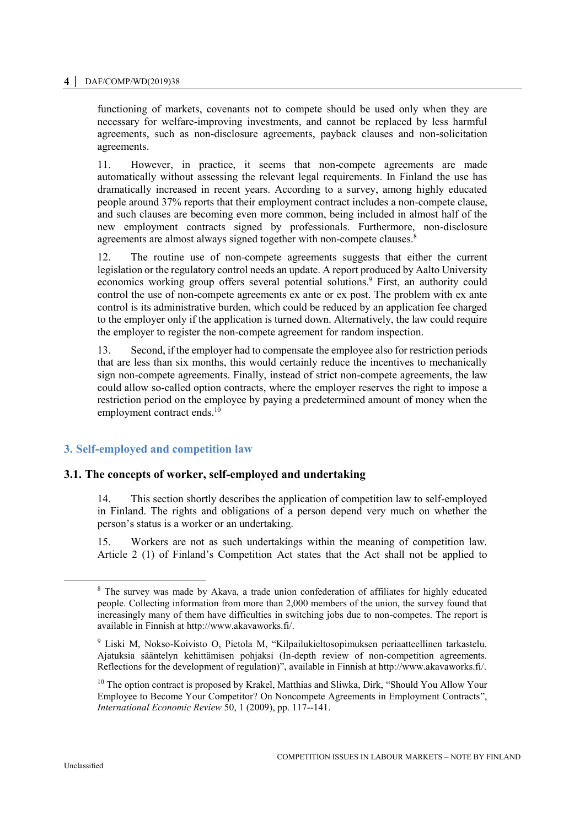#### **4 │** DAF/COMP/WD(2019)38

functioning of markets, covenants not to compete should be used only when they are necessary for welfare-improving investments, and cannot be replaced by less harmful agreements, such as non-disclosure agreements, payback clauses and non-solicitation agreements.

11. However, in practice, it seems that non-compete agreements are made automatically without assessing the relevant legal requirements. In Finland the use has dramatically increased in recent years. According to a survey, among highly educated people around 37% reports that their employment contract includes a non-compete clause, and such clauses are becoming even more common, being included in almost half of the new employment contracts signed by professionals. Furthermore, non-disclosure agreements are almost always signed together with non-compete clauses.<sup>8</sup>

12. The routine use of non-compete agreements suggests that either the current legislation or the regulatory control needs an update. A report produced by Aalto University economics working group offers several potential solutions. <sup>9</sup> First, an authority could control the use of non-compete agreements ex ante or ex post. The problem with ex ante control is its administrative burden, which could be reduced by an application fee charged to the employer only if the application is turned down. Alternatively, the law could require the employer to register the non-compete agreement for random inspection.

13. Second, if the employer had to compensate the employee also for restriction periods that are less than six months, this would certainly reduce the incentives to mechanically sign non-compete agreements. Finally, instead of strict non-compete agreements, the law could allow so-called option contracts, where the employer reserves the right to impose a restriction period on the employee by paying a predetermined amount of money when the employment contract ends.<sup>10</sup>

# **3. Self-employed and competition law**

### **3.1. The concepts of worker, self-employed and undertaking**

14. This section shortly describes the application of competition law to self-employed in Finland. The rights and obligations of a person depend very much on whether the person's status is a worker or an undertaking.

15. Workers are not as such undertakings within the meaning of competition law. Article 2 (1) of Finland's Competition Act states that the Act shall not be applied to

 $\overline{a}$ 

<sup>&</sup>lt;sup>8</sup> The survey was made by Akava, a trade union confederation of affiliates for highly educated people. Collecting information from more than 2,000 members of the union, the survey found that increasingly many of them have difficulties in switching jobs due to non-competes. The report is available in Finnish at http://www.akavaworks.fi/.

<sup>9</sup> Liski M, Nokso-Koivisto O, Pietola M, "Kilpailukieltosopimuksen periaatteellinen tarkastelu. Ajatuksia sääntelyn kehittämisen pohjaksi (In-depth review of non-competition agreements. Reflections for the development of regulation)", available in Finnish at http://www.akavaworks.fi/.

 $10$  The option contract is proposed by Krakel, Matthias and Sliwka, Dirk, "Should You Allow Your Employee to Become Your Competitor? On Noncompete Agreements in Employment Contracts", *International Economic Review* 50, 1 (2009), pp. 117--141.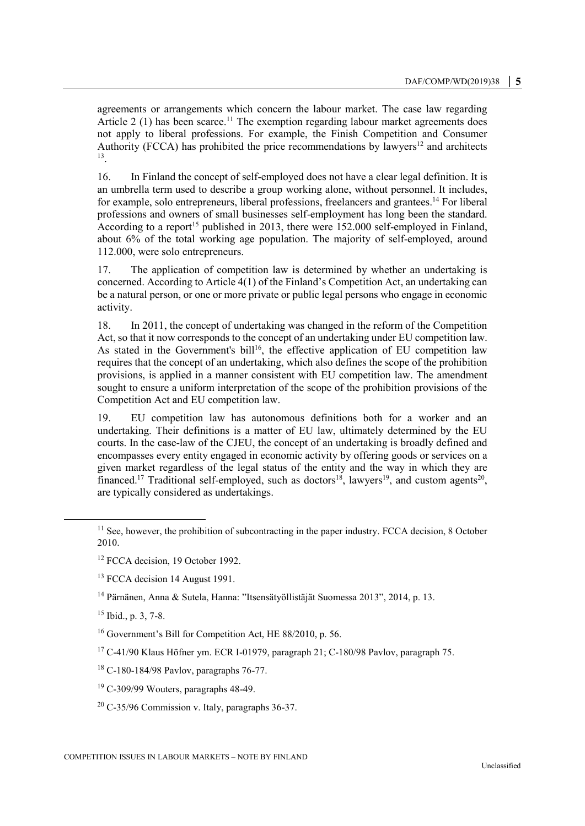agreements or arrangements which concern the labour market. The case law regarding Article 2 (1) has been scarce.<sup>11</sup> The exemption regarding labour market agreements does not apply to liberal professions. For example, the Finish Competition and Consumer Authority (FCCA) has prohibited the price recommendations by lawyers<sup>12</sup> and architects 13 .

16. In Finland the concept of self-employed does not have a clear legal definition. It is an umbrella term used to describe a group working alone, without personnel. It includes, for example, solo entrepreneurs, liberal professions, freelancers and grantees.<sup>14</sup> For liberal professions and owners of small businesses self-employment has long been the standard. According to a report<sup>15</sup> published in 2013, there were  $152.000$  self-employed in Finland, about 6% of the total working age population. The majority of self-employed, around 112.000, were solo entrepreneurs.

17. The application of competition law is determined by whether an undertaking is concerned. According to Article 4(1) of the Finland's Competition Act, an undertaking can be a natural person, or one or more private or public legal persons who engage in economic activity.

18. In 2011, the concept of undertaking was changed in the reform of the Competition Act, so that it now corresponds to the concept of an undertaking under EU competition law. As stated in the Government's bill<sup>16</sup>, the effective application of EU competition law requires that the concept of an undertaking, which also defines the scope of the prohibition provisions, is applied in a manner consistent with EU competition law. The amendment sought to ensure a uniform interpretation of the scope of the prohibition provisions of the Competition Act and EU competition law.

19. EU competition law has autonomous definitions both for a worker and an undertaking. Their definitions is a matter of EU law, ultimately determined by the EU courts. In the case-law of the CJEU, the concept of an undertaking is broadly defined and encompasses every entity engaged in economic activity by offering goods or services on a given market regardless of the legal status of the entity and the way in which they are financed.<sup>17</sup> Traditional self-employed, such as doctors<sup>18</sup>, lawyers<sup>19</sup>, and custom agents<sup>20</sup>, are typically considered as undertakings.

<sup>14</sup> Pärnänen, Anna & Sutela, Hanna: "Itsensätyöllistäjät Suomessa 2013", 2014, p. 13.

<sup>15</sup> Ibid., p. 3, 7-8.

 $\overline{a}$ 

<sup>16</sup> Government's Bill for Competition Act, HE 88/2010, p. 56.

 $17$  C-41/90 Klaus Höfner ym. ECR I-01979, paragraph 21; C-180/98 Pavlov, paragraph 75.

<sup>18</sup> C-180-184/98 Pavlov, paragraphs 76-77.

 $19$  C-309/99 Wouters, paragraphs 48-49.

 $11$  See, however, the prohibition of subcontracting in the paper industry. FCCA decision, 8 October 2010.

<sup>&</sup>lt;sup>12</sup> FCCA decision, 19 October 1992.

<sup>&</sup>lt;sup>13</sup> FCCA decision 14 August 1991.

<sup>20</sup> C-35/96 Commission v. Italy, paragraphs 36-37.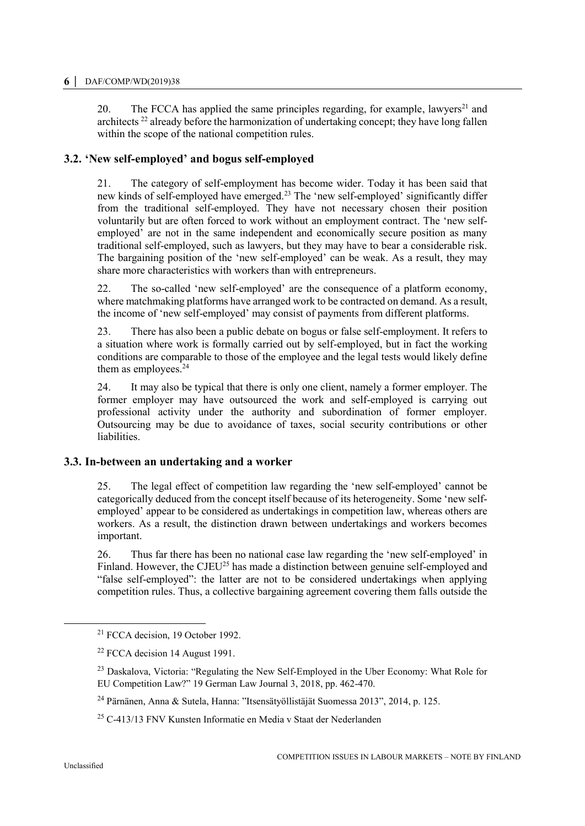20. The FCCA has applied the same principles regarding, for example, lawyers<sup>21</sup> and architects <sup>22</sup> already before the harmonization of undertaking concept; they have long fallen within the scope of the national competition rules.

# **3.2. 'New self-employed' and bogus self-employed**

21. The category of self-employment has become wider. Today it has been said that new kinds of self-employed have emerged.<sup>23</sup> The 'new self-employed' significantly differ from the traditional self-employed. They have not necessary chosen their position voluntarily but are often forced to work without an employment contract. The 'new selfemployed' are not in the same independent and economically secure position as many traditional self-employed, such as lawyers, but they may have to bear a considerable risk. The bargaining position of the 'new self-employed' can be weak. As a result, they may share more characteristics with workers than with entrepreneurs.

22. The so-called 'new self-employed' are the consequence of a platform economy, where matchmaking platforms have arranged work to be contracted on demand. As a result, the income of 'new self-employed' may consist of payments from different platforms.

23. There has also been a public debate on bogus or false self-employment. It refers to a situation where work is formally carried out by self-employed, but in fact the working conditions are comparable to those of the employee and the legal tests would likely define them as employees.<sup>24</sup>

24. It may also be typical that there is only one client, namely a former employer. The former employer may have outsourced the work and self-employed is carrying out professional activity under the authority and subordination of former employer. Outsourcing may be due to avoidance of taxes, social security contributions or other liabilities.

# **3.3. In-between an undertaking and a worker**

25. The legal effect of competition law regarding the 'new self-employed' cannot be categorically deduced from the concept itself because of its heterogeneity. Some 'new selfemployed' appear to be considered as undertakings in competition law, whereas others are workers. As a result, the distinction drawn between undertakings and workers becomes important.

26. Thus far there has been no national case law regarding the 'new self-employed' in Finland. However, the CJEU<sup>25</sup> has made a distinction between genuine self-employed and "false self-employed": the latter are not to be considered undertakings when applying competition rules. Thus, a collective bargaining agreement covering them falls outside the

<sup>21</sup> FCCA decision, 19 October 1992.

 $22$  FCCA decision 14 August 1991.

<sup>&</sup>lt;sup>23</sup> Daskalova, Victoria: "Regulating the New Self-Employed in the Uber Economy: What Role for EU Competition Law?" 19 German Law Journal 3, 2018, pp. 462-470.

<sup>24</sup> Pärnänen, Anna & Sutela, Hanna: "Itsensätyöllistäjät Suomessa 2013", 2014, p. 125.

 $25$  C-413/13 FNV Kunsten Informatie en Media v Staat der Nederlanden